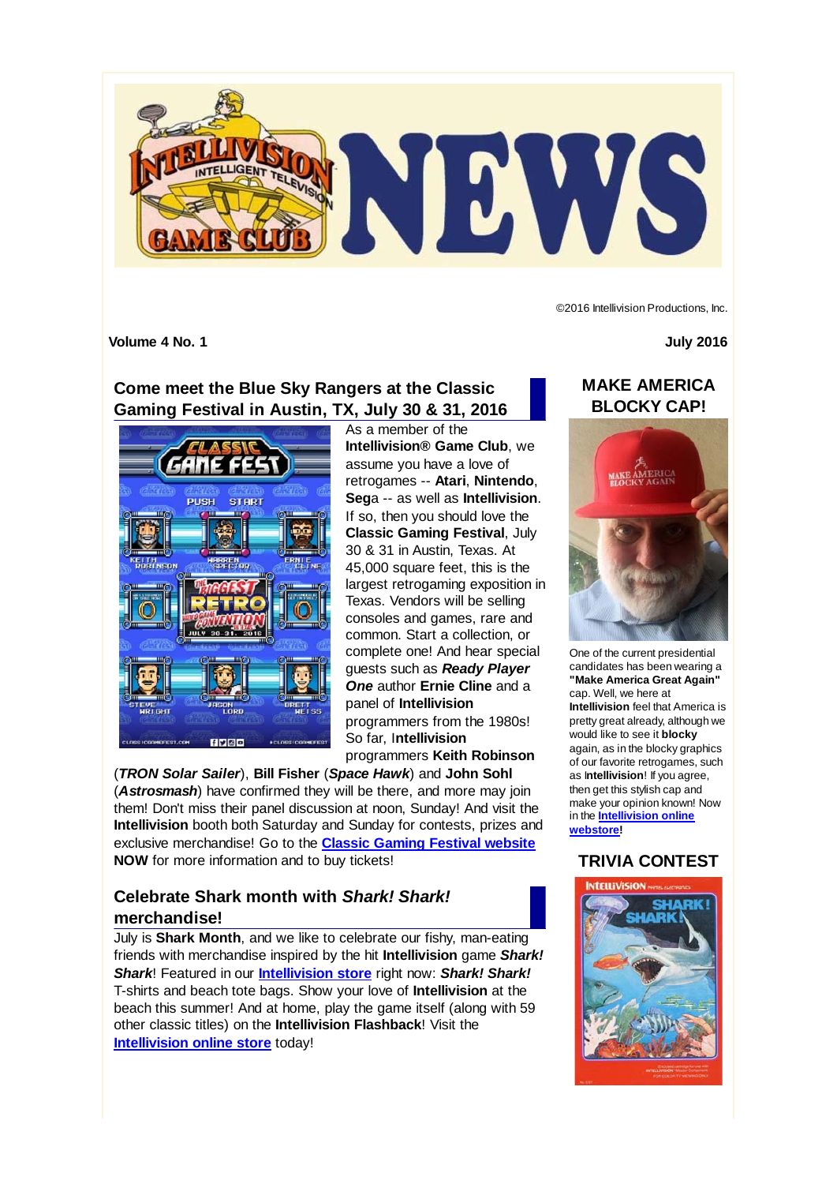

©2016 Intellivision Productions, Inc.

**Volume 4 No. 1 July 2016**

# **Come meet the Blue Sky Rangers at the Classic Gaming Festival in Austin, TX, July 30 & 31, 2016**



As a member of the **Intellivision® Game Club**, we assume you have a love of retrogames -- **Atari**, **Nintendo**, **Seg**a -- as well as **Intellivision**. If so, then you should love the **Classic Gaming Festival**, July 30 & 31 in Austin, Texas. At 45,000 square feet, this is the largest retrogaming exposition in Texas. Vendors will be selling consoles and games, rare and common. Start a collection, or complete one! And hear special guests such as *Ready Player One* author **Ernie Cline** and a panel of **Intellivision** programmers from the 1980s! So far, I**ntellivision**

programmers **Keith Robinson**

(*TRON Solar Sailer*), **Bill Fisher** (*Space Hawk*) and **John Sohl** (*Astrosmash*) have confirmed they will be there, and more may join them! Don't miss their panel discussion at noon, Sunday! And visit the **Intellivision** booth both Saturday and Sunday for contests, prizes and exclusive merchandise! Go to the **Classic Gaming Festival website NOW** for more information and to buy tickets!

## **Celebrate Shark month with** *Shark! Shark!* **merchandise!**

July is **Shark Month**, and we like to celebrate our fishy, man-eating friends with merchandise inspired by the hit **Intellivision** game *Shark! Shark*! Featured in our **Intellivision store** right now: *Shark! Shark!* T-shirts and beach tote bags. Show your love of **Intellivision** at the beach this summer! And at home, play the game itself (along with 59 other classic titles) on the **Intellivision Flashback**! Visit the **Intellivision online store** today!

## **MAKE AMERICA BLOCKY CAP!**



One of the current presidential candidates has been wearing a **"Make America Great Again"** cap. Well, we here at **Intellivision** feel that America is pretty great already, although we would like to see it **blocky** again, as in the blocky graphics of our favorite retrogames, such as I**ntellivision**! If you agree, then get this stylish cap and make your opinion known! Now in the **Intellivision online webstore!**

# **TRIVIA CONTEST**